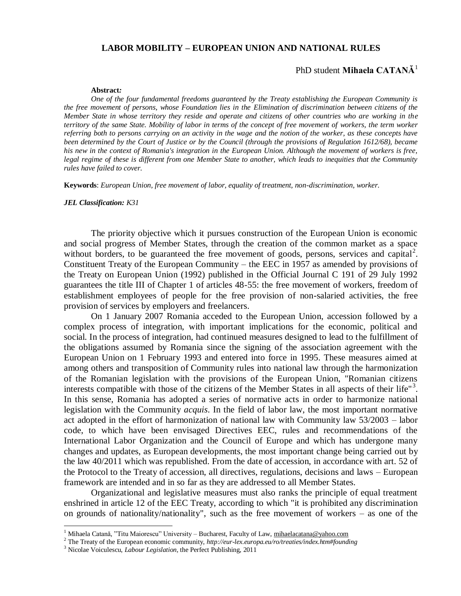#### **LABOR MOBILITY – EUROPEAN UNION AND NATIONAL RULES**

### PhD student **Mihaela CATANĂ<sup>1</sup>**

#### **Abstract***:*

*One of the four fundamental freedoms guaranteed by the Treaty establishing the European Community is the free movement of persons, whose Foundation lies in the Elimination of discrimination between citizens of the Member State in whose territory they reside and operate and citizens of other countries who are working in the territory of the same State. Mobility of labor in terms of the concept of free movement of workers, the term worker referring both to persons carrying on an activity in the wage and the notion of the worker, as these concepts have been determined by the Court of Justice or by the Council (through the provisions of Regulation 1612/68), became his new in the context of Romania's integration in the European Union. Although the movement of workers is free, legal regime of these is different from one Member State to another, which leads to inequities that the Community rules have failed to cover.*

**Keywords**: *European Union, free movement of labor, equality of treatment, non-discrimination, worker.*

#### *JEL Classification: K31*

The priority objective which it pursues construction of the European Union is economic and social progress of Member States, through the creation of the common market as a space without borders, to be guaranteed the free movement of goods, persons, services and capital<sup>2</sup>. Constituent Treaty of the European Community – the EEC in 1957 as amended by provisions of the Treaty on European Union (1992) published in the Official Journal C 191 of 29 July 1992 guarantees the title III of Chapter 1 of articles 48-55: the free movement of workers, freedom of establishment employees of people for the free provision of non-salaried activities, the free provision of services by employers and freelancers.

On 1 January 2007 Romania acceded to the European Union, accession followed by a complex process of integration, with important implications for the economic, political and social. In the process of integration, had continued measures designed to lead to the fulfillment of the obligations assumed by Romania since the signing of the association agreement with the European Union on 1 February 1993 and entered into force in 1995. These measures aimed at among others and transposition of Community rules into national law through the harmonization of the Romanian legislation with the provisions of the European Union, "Romanian citizens interests compatible with those of the citizens of the Member States in all aspects of their life"<sup>3</sup> . In this sense, Romania has adopted a series of normative acts in order to harmonize national legislation with the Community *acquis*. In the field of labor law, the most important normative act adopted in the effort of harmonization of national law with Community law 53/2003 – labor code, to which have been envisaged Directives EEC, rules and recommendations of the International Labor Organization and the Council of Europe and which has undergone many changes and updates, as European developments, the most important change being carried out by the law 40/2011 which was republished. From the date of accession, in accordance with art. 52 of the Protocol to the Treaty of accession, all directives, regulations, decisions and laws – European framework are intended and in so far as they are addressed to all Member States.

Organizational and legislative measures must also ranks the principle of equal treatment enshrined in article 12 of the EEC Treaty, according to which "it is prohibited any discrimination on grounds of nationality/nationality", such as the free movement of workers – as one of the

 $\overline{a}$ 

<sup>&</sup>lt;sup>1</sup> Mihaela Catană, "Titu Maiorescu" University – Bucharest, Faculty of Law, [mihaelacatana@yahoo.com](mailto:mihaelacatana@yahoo.com)

<sup>2</sup> The Treaty of the European economic community, *http://eur-lex.europa.eu/ro/treaties/index.htm#founding*

<sup>3</sup> Nicolae Voiculescu, *Labour Legislation*, the Perfect Publishing, 2011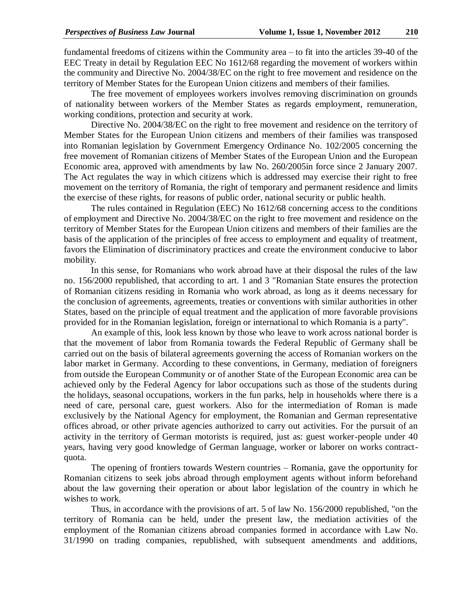fundamental freedoms of citizens within the Community area – to fit into the articles 39-40 of the EEC Treaty in detail by Regulation EEC No 1612/68 regarding the movement of workers within the community and Directive No. 2004/38/EC on the right to free movement and residence on the territory of Member States for the European Union citizens and members of their families.

The free movement of employees workers involves removing discrimination on grounds of nationality between workers of the Member States as regards employment, remuneration, working conditions, protection and security at work.

Directive No. 2004/38/EC on the right to free movement and residence on the territory of Member States for the European Union citizens and members of their families was transposed into Romanian legislation by Government Emergency Ordinance No. 102/2005 concerning the free movement of Romanian citizens of Member States of the European Union and the European Economic area, approved with amendments by law No. 260/2005in force since 2 January 2007. The Act regulates the way in which citizens which is addressed may exercise their right to free movement on the territory of Romania, the right of temporary and permanent residence and limits the exercise of these rights, for reasons of public order, national security or public health.

The rules contained in Regulation (EEC) No 1612/68 concerning access to the conditions of employment and Directive No. 2004/38/EC on the right to free movement and residence on the territory of Member States for the European Union citizens and members of their families are the basis of the application of the principles of free access to employment and equality of treatment, favors the Elimination of discriminatory practices and create the environment conducive to labor mobility.

In this sense, for Romanians who work abroad have at their disposal the rules of the law no. 156/2000 republished, that according to art. 1 and 3 "Romanian State ensures the protection of Romanian citizens residing in Romania who work abroad, as long as it deems necessary for the conclusion of agreements, agreements, treaties or conventions with similar authorities in other States, based on the principle of equal treatment and the application of more favorable provisions provided for in the Romanian legislation, foreign or international to which Romania is a party".

An example of this, look less known by those who leave to work across national border is that the movement of labor from Romania towards the Federal Republic of Germany shall be carried out on the basis of bilateral agreements governing the access of Romanian workers on the labor market in Germany. According to these conventions, in Germany, mediation of foreigners from outside the European Community or of another State of the European Economic area can be achieved only by the Federal Agency for labor occupations such as those of the students during the holidays, seasonal occupations, workers in the fun parks, help in households where there is a need of care, personal care, guest workers. Also for the intermediation of Roman is made exclusively by the National Agency for employment, the Romanian and German representative offices abroad, or other private agencies authorized to carry out activities. For the pursuit of an activity in the territory of German motorists is required, just as: guest worker-people under 40 years, having very good knowledge of German language, worker or laborer on works contractquota.

The opening of frontiers towards Western countries – Romania, gave the opportunity for Romanian citizens to seek jobs abroad through employment agents without inform beforehand about the law governing their operation or about labor legislation of the country in which he wishes to work.

Thus, in accordance with the provisions of art. 5 of law No. 156/2000 republished, "on the territory of Romania can be held, under the present law, the mediation activities of the employment of the Romanian citizens abroad companies formed in accordance with Law No. 31/1990 on trading companies, republished, with subsequent amendments and additions,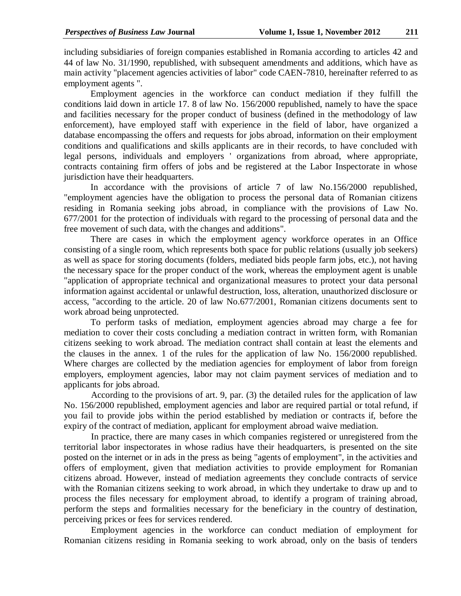including subsidiaries of foreign companies established in Romania according to articles 42 and 44 of law No. 31/1990, republished, with subsequent amendments and additions, which have as main activity "placement agencies activities of labor" code CAEN-7810, hereinafter referred to as employment agents ".

Employment agencies in the workforce can conduct mediation if they fulfill the conditions laid down in article 17. 8 of law No. 156/2000 republished, namely to have the space and facilities necessary for the proper conduct of business (defined in the methodology of law enforcement), have employed staff with experience in the field of labor, have organized a database encompassing the offers and requests for jobs abroad, information on their employment conditions and qualifications and skills applicants are in their records, to have concluded with legal persons, individuals and employers ' organizations from abroad, where appropriate, contracts containing firm offers of jobs and be registered at the Labor Inspectorate in whose jurisdiction have their headquarters.

In accordance with the provisions of article 7 of law No.156/2000 republished, "employment agencies have the obligation to process the personal data of Romanian citizens residing in Romania seeking jobs abroad, in compliance with the provisions of Law No. 677/2001 for the protection of individuals with regard to the processing of personal data and the free movement of such data, with the changes and additions".

There are cases in which the employment agency workforce operates in an Office consisting of a single room, which represents both space for public relations (usually job seekers) as well as space for storing documents (folders, mediated bids people farm jobs, etc.), not having the necessary space for the proper conduct of the work, whereas the employment agent is unable "application of appropriate technical and organizational measures to protect your data personal information against accidental or unlawful destruction, loss, alteration, unauthorized disclosure or access, "according to the article. 20 of law No.677/2001, Romanian citizens documents sent to work abroad being unprotected.

To perform tasks of mediation, employment agencies abroad may charge a fee for mediation to cover their costs concluding a mediation contract in written form, with Romanian citizens seeking to work abroad. The mediation contract shall contain at least the elements and the clauses in the annex. 1 of the rules for the application of law No. 156/2000 republished. Where charges are collected by the mediation agencies for employment of labor from foreign employers, employment agencies, labor may not claim payment services of mediation and to applicants for jobs abroad.

According to the provisions of art. 9, par. (3) the detailed rules for the application of law No. 156/2000 republished, employment agencies and labor are required partial or total refund, if you fail to provide jobs within the period established by mediation or contracts if, before the expiry of the contract of mediation, applicant for employment abroad waive mediation.

In practice, there are many cases in which companies registered or unregistered from the territorial labor inspectorates in whose radius have their headquarters, is presented on the site posted on the internet or in ads in the press as being "agents of employment", in the activities and offers of employment, given that mediation activities to provide employment for Romanian citizens abroad. However, instead of mediation agreements they conclude contracts of service with the Romanian citizens seeking to work abroad, in which they undertake to draw up and to process the files necessary for employment abroad, to identify a program of training abroad, perform the steps and formalities necessary for the beneficiary in the country of destination, perceiving prices or fees for services rendered.

Employment agencies in the workforce can conduct mediation of employment for Romanian citizens residing in Romania seeking to work abroad, only on the basis of tenders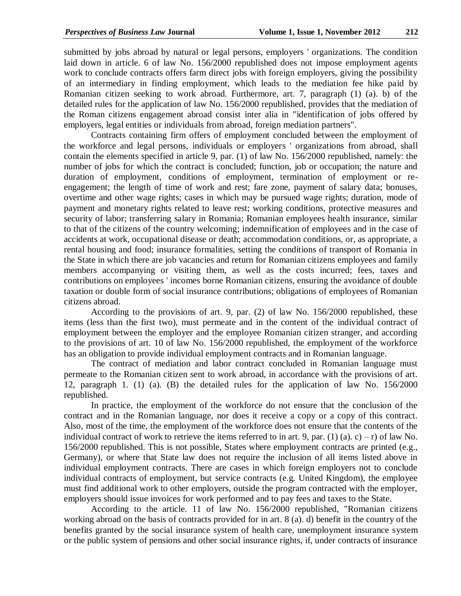submitted by jobs abroad by natural or legal persons, employers ' organizations. The condition laid down in article. 6 of law No. 156/2000 republished does not impose employment agents work to conclude contracts offers farm direct jobs with foreign employers, giving the possibility of an intermediary in finding employment, which leads to the mediation fee hike paid by Romanian citizen seeking to work abroad. Furthermore, art. 7, paragraph (1) (a). b) of the detailed rules for the application of law No. 156/2000 republished, provides that the mediation of the Roman citizens engagement abroad consist inter alia in "identification of jobs offered by employers, legal entities or individuals from abroad, foreign mediation partners".

Contracts containing firm offers of employment concluded between the employment of the workforce and legal persons, individuals or employers ' organizations from abroad, shall contain the elements specified in article 9, par. (1) of law No. 156/2000 republished, namely: the number of jobs for which the contract is concluded; function, job or occupation; the nature and duration of employment, conditions of employment, termination of employment or reengagement; the length of time of work and rest; fare zone, payment of salary data; bonuses, overtime and other wage rights; cases in which may be pursued wage rights; duration, mode of payment and monetary rights related to leave rest; working conditions, protective measures and security of labor; transferring salary in Romania; Romanian employees health insurance, similar to that of the citizens of the country welcoming; indemnification of employees and in the case of accidents at work, occupational disease or death; accommodation conditions, or, as appropriate, a rental housing and food; insurance formalities, setting the conditions of transport of Romania in the State in which there are job vacancies and return for Romanian citizens employees and family members accompanying or visiting them, as well as the costs incurred; fees, taxes and contributions on employees ' incomes borne Romanian citizens, ensuring the avoidance of double taxation or double form of social insurance contributions; obligations of employees of Romanian citizens abroad.

According to the provisions of art. 9, par. (2) of law No. 156/2000 republished, these items (less than the first two), must permeate and in the content of the individual contract of employment between the employer and the employee Romanian citizen stranger, and according to the provisions of art. 10 of law No. 156/2000 republished, the employment of the workforce has an obligation to provide individual employment contracts and in Romanian language.

The contract of mediation and labor contract concluded in Romanian language must permeate to the Romanian citizen sent to work abroad, in accordance with the provisions of art. 12, paragraph 1. (1) (a). (B) the detailed rules for the application of law No. 156/2000 republished.

In practice, the employment of the workforce do not ensure that the conclusion of the contract and in the Romanian language, nor does it receive a copy or a copy of this contract. Also, most of the time, the employment of the workforce does not ensure that the contents of the individual contract of work to retrieve the items referred to in art. 9, par. (1) (a). c) – r) of law No. 156/2000 republished. This is not possible, States where employment contracts are printed (e.g., Germany), or where that State law does not require the inclusion of all items listed above in individual employment contracts. There are cases in which foreign employers not to conclude individual contracts of employment, but service contracts (e.g. United Kingdom), the employee must find additional work to other employers, outside the program contracted with the employer, employers should issue invoices for work performed and to pay fees and taxes to the State.

According to the article. 11 of law No. 156/2000 republished, "Romanian citizens working abroad on the basis of contracts provided for in art. 8 (a). d) benefit in the country of the benefits granted by the social insurance system of health care, unemployment insurance system or the public system of pensions and other social insurance rights, if, under contracts of insurance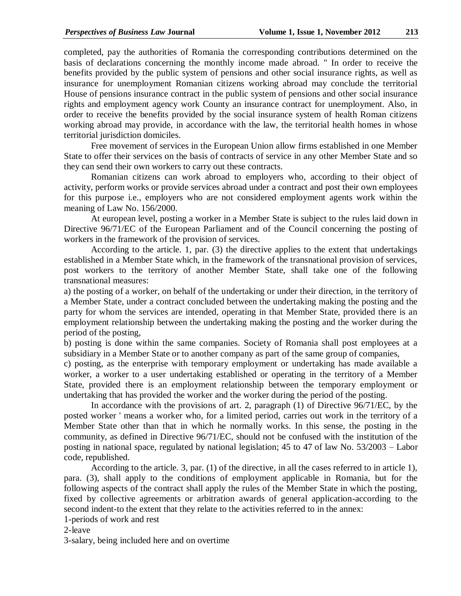completed, pay the authorities of Romania the corresponding contributions determined on the basis of declarations concerning the monthly income made abroad. " In order to receive the benefits provided by the public system of pensions and other social insurance rights, as well as insurance for unemployment Romanian citizens working abroad may conclude the territorial House of pensions insurance contract in the public system of pensions and other social insurance rights and employment agency work County an insurance contract for unemployment. Also, in order to receive the benefits provided by the social insurance system of health Roman citizens working abroad may provide, in accordance with the law, the territorial health homes in whose territorial jurisdiction domiciles.

Free movement of services in the European Union allow firms established in one Member State to offer their services on the basis of contracts of service in any other Member State and so they can send their own workers to carry out these contracts.

Romanian citizens can work abroad to employers who, according to their object of activity, perform works or provide services abroad under a contract and post their own employees for this purpose i.e., employers who are not considered employment agents work within the meaning of Law No. 156/2000.

At european level, posting a worker in a Member State is subject to the rules laid down in Directive 96/71/EC of the European Parliament and of the Council concerning the posting of workers in the framework of the provision of services.

According to the article. 1, par. (3) the directive applies to the extent that undertakings established in a Member State which, in the framework of the transnational provision of services, post workers to the territory of another Member State, shall take one of the following transnational measures:

a) the posting of a worker, on behalf of the undertaking or under their direction, in the territory of a Member State, under a contract concluded between the undertaking making the posting and the party for whom the services are intended, operating in that Member State, provided there is an employment relationship between the undertaking making the posting and the worker during the period of the posting,

b) posting is done within the same companies. Society of Romania shall post employees at a subsidiary in a Member State or to another company as part of the same group of companies,

c) posting, as the enterprise with temporary employment or undertaking has made available a worker, a worker to a user undertaking established or operating in the territory of a Member State, provided there is an employment relationship between the temporary employment or undertaking that has provided the worker and the worker during the period of the posting.

In accordance with the provisions of art. 2, paragraph (1) of Directive 96/71/EC, by the posted worker ' means a worker who, for a limited period, carries out work in the territory of a Member State other than that in which he normally works. In this sense, the posting in the community, as defined in Directive 96/71/EC, should not be confused with the institution of the posting in national space, regulated by national legislation; 45 to 47 of law No. 53/2003 – Labor code, republished.

According to the article. 3, par. (1) of the directive, in all the cases referred to in article 1), para. (3), shall apply to the conditions of employment applicable in Romania, but for the following aspects of the contract shall apply the rules of the Member State in which the posting, fixed by collective agreements or arbitration awards of general application-according to the second indent-to the extent that they relate to the activities referred to in the annex:

1-periods of work and rest

2-leave

3-salary, being included here and on overtime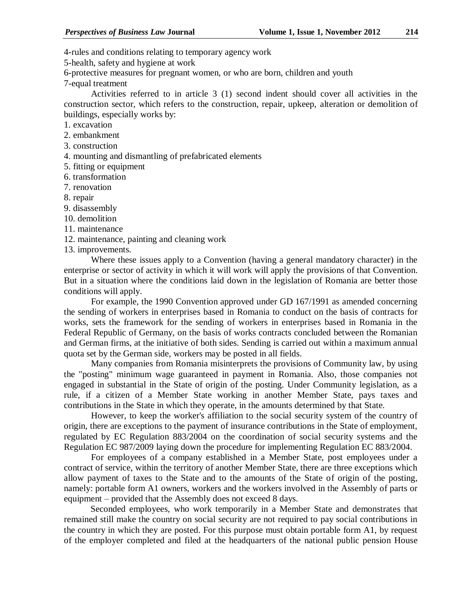4-rules and conditions relating to temporary agency work

5-health, safety and hygiene at work

6-protective measures for pregnant women, or who are born, children and youth

7-equal treatment

Activities referred to in article 3 (1) second indent should cover all activities in the construction sector, which refers to the construction, repair, upkeep, alteration or demolition of buildings, especially works by:

1. excavation

2. embankment

- 3. construction
- 4. mounting and dismantling of prefabricated elements
- 5. fitting or equipment
- 6. transformation
- 7. renovation
- 8. repair

9. disassembly

10. demolition

11. maintenance

12. maintenance, painting and cleaning work

13. improvements.

Where these issues apply to a Convention (having a general mandatory character) in the enterprise or sector of activity in which it will work will apply the provisions of that Convention. But in a situation where the conditions laid down in the legislation of Romania are better those conditions will apply.

For example, the 1990 Convention approved under GD 167/1991 as amended concerning the sending of workers in enterprises based in Romania to conduct on the basis of contracts for works, sets the framework for the sending of workers in enterprises based in Romania in the Federal Republic of Germany, on the basis of works contracts concluded between the Romanian and German firms, at the initiative of both sides. Sending is carried out within a maximum annual quota set by the German side, workers may be posted in all fields.

Many companies from Romania misinterprets the provisions of Community law, by using the "posting" minimum wage guaranteed in payment in Romania. Also, those companies not engaged in substantial in the State of origin of the posting. Under Community legislation, as a rule, if a citizen of a Member State working in another Member State, pays taxes and contributions in the State in which they operate, in the amounts determined by that State.

However, to keep the worker's affiliation to the social security system of the country of origin, there are exceptions to the payment of insurance contributions in the State of employment, regulated by EC Regulation 883/2004 on the coordination of social security systems and the Regulation EC 987/2009 laying down the procedure for implementing Regulation EC 883/2004.

For employees of a company established in a Member State, post employees under a contract of service, within the territory of another Member State, there are three exceptions which allow payment of taxes to the State and to the amounts of the State of origin of the posting, namely: portable form A1 owners, workers and the workers involved in the Assembly of parts or equipment – provided that the Assembly does not exceed 8 days.

Seconded employees, who work temporarily in a Member State and demonstrates that remained still make the country on social security are not required to pay social contributions in the country in which they are posted. For this purpose must obtain portable form A1, by request of the employer completed and filed at the headquarters of the national public pension House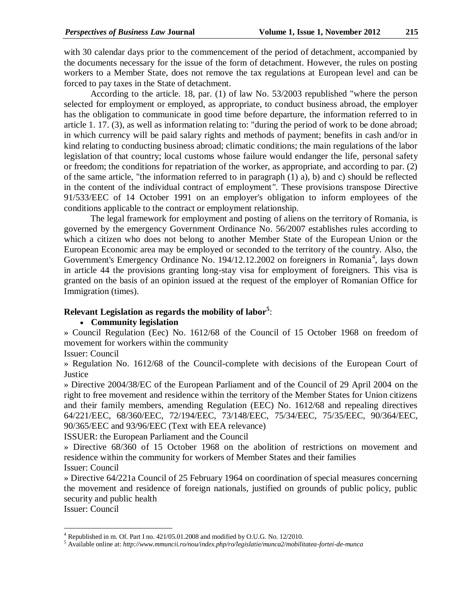with 30 calendar days prior to the commencement of the period of detachment, accompanied by the documents necessary for the issue of the form of detachment. However, the rules on posting workers to a Member State, does not remove the tax regulations at European level and can be forced to pay taxes in the State of detachment.

According to the article. 18, par. (1) of law No. 53/2003 republished "where the person selected for employment or employed, as appropriate, to conduct business abroad, the employer has the obligation to communicate in good time before departure, the information referred to in article 1. 17. (3), as well as information relating to: "during the period of work to be done abroad; in which currency will be paid salary rights and methods of payment; benefits in cash and/or in kind relating to conducting business abroad; climatic conditions; the main regulations of the labor legislation of that country; local customs whose failure would endanger the life, personal safety or freedom; the conditions for repatriation of the worker, as appropriate, and according to par. (2) of the same article, "the information referred to in paragraph (1) a), b) and c) should be reflected in the content of the individual contract of employment*"*. These provisions transpose Directive 91/533/EEC of 14 October 1991 on an employer's obligation to inform employees of the conditions applicable to the contract or employment relationship.

The legal framework for employment and posting of aliens on the territory of Romania, is governed by the emergency Government Ordinance No. 56/2007 establishes rules according to which a citizen who does not belong to another Member State of the European Union or the European Economic area may be employed or seconded to the territory of the country. Also, the Government's Emergency Ordinance No. 194/12.12.2002 on foreigners in Romania<sup>4</sup>, lays down in article 44 the provisions granting long-stay visa for employment of foreigners. This visa is granted on the basis of an opinion issued at the request of the employer of Romanian Office for Immigration (times).

# **Relevant Legislation as regards the mobility of labor<sup>5</sup>** :

## **Community legislation**

» Council Regulation (Eec) No. 1612/68 of the Council of 15 October 1968 on freedom of movement for workers within the community

Issuer: Council

» Regulation No. 1612/68 of the Council-complete with decisions of the European Court of **Justice** 

» Directive 2004/38/EC of the European Parliament and of the Council of 29 April 2004 on the right to free movement and residence within the territory of the Member States for Union citizens and their family members, amending Regulation (EEC) No. 1612/68 and repealing directives 64/221/EEC, 68/360/EEC, 72/194/EEC, 73/148/EEC, 75/34/EEC, 75/35/EEC, 90/364/EEC, 90/365/EEC and 93/96/EEC (Text with EEA relevance)

ISSUER: the European Parliament and the Council

» Directive 68/360 of 15 October 1968 on the abolition of restrictions on movement and residence within the community for workers of Member States and their families Issuer: Council

» Directive 64/221a Council of 25 February 1964 on coordination of special measures concerning the movement and residence of foreign nationals, justified on grounds of public policy, public security and public health

Issuer: Council

 $\overline{a}$ 

 $^{4}$  Republished in m. Of. Part I no. 421/05.01.2008 and modified by O.U.G. No. 12/2010.

<sup>5</sup> Available online at: *http://www.mmuncii.ro/nou/index.php/ro/legislatie/munca2/mobilitatea-fortei-de-munca*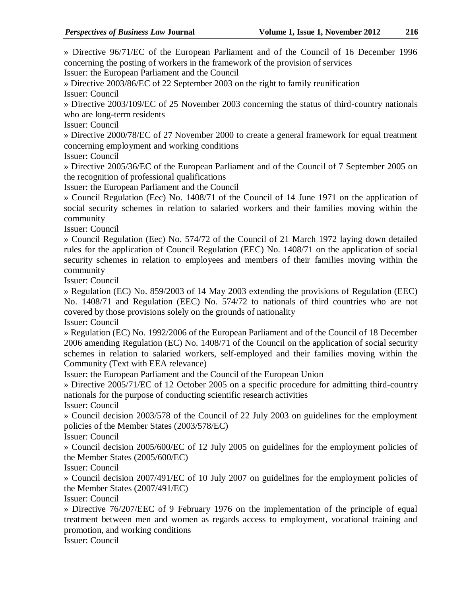» Directive 96/71/EC of the European Parliament and of the Council of 16 December 1996 concerning the posting of workers in the framework of the provision of services Issuer: the European Parliament and the Council

» Directive 2003/86/EC of 22 September 2003 on the right to family reunification Issuer: Council

» Directive 2003/109/EC of 25 November 2003 concerning the status of third-country nationals who are long-term residents

Issuer: Council

» Directive 2000/78/EC of 27 November 2000 to create a general framework for equal treatment concerning employment and working conditions

Issuer: Council

» Directive 2005/36/EC of the European Parliament and of the Council of 7 September 2005 on the recognition of professional qualifications

Issuer: the European Parliament and the Council

» Council Regulation (Eec) No. 1408/71 of the Council of 14 June 1971 on the application of social security schemes in relation to salaried workers and their families moving within the community

Issuer: Council

» Council Regulation (Eec) No. 574/72 of the Council of 21 March 1972 laying down detailed rules for the application of Council Regulation (EEC) No. 1408/71 on the application of social security schemes in relation to employees and members of their families moving within the community

Issuer: Council

» Regulation (EC) No. 859/2003 of 14 May 2003 extending the provisions of Regulation (EEC) No. 1408/71 and Regulation (EEC) No. 574/72 to nationals of third countries who are not covered by those provisions solely on the grounds of nationality

Issuer: Council

» Regulation (EC) No. 1992/2006 of the European Parliament and of the Council of 18 December 2006 amending Regulation (EC) No. 1408/71 of the Council on the application of social security schemes in relation to salaried workers, self-employed and their families moving within the Community (Text with EEA relevance)

Issuer: the European Parliament and the Council of the European Union

» Directive 2005/71/EC of 12 October 2005 on a specific procedure for admitting third-country nationals for the purpose of conducting scientific research activities

Issuer: Council

» Council decision 2003/578 of the Council of 22 July 2003 on guidelines for the employment policies of the Member States (2003/578/EC)

Issuer: Council

» Council decision 2005/600/EC of 12 July 2005 on guidelines for the employment policies of the Member States (2005/600/EC)

Issuer: Council

» Council decision 2007/491/EC of 10 July 2007 on guidelines for the employment policies of the Member States (2007/491/EC)

Issuer: Council

» Directive 76/207/EEC of 9 February 1976 on the implementation of the principle of equal treatment between men and women as regards access to employment, vocational training and promotion, and working conditions

Issuer: Council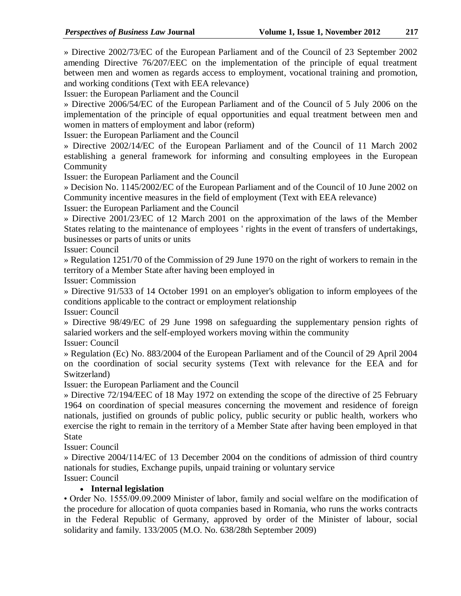» Directive 2002/73/EC of the European Parliament and of the Council of 23 September 2002 amending Directive 76/207/EEC on the implementation of the principle of equal treatment between men and women as regards access to employment, vocational training and promotion, and working conditions (Text with EEA relevance)

Issuer: the European Parliament and the Council

» Directive 2006/54/EC of the European Parliament and of the Council of 5 July 2006 on the implementation of the principle of equal opportunities and equal treatment between men and women in matters of employment and labor (reform)

Issuer: the European Parliament and the Council

» Directive 2002/14/EC of the European Parliament and of the Council of 11 March 2002 establishing a general framework for informing and consulting employees in the European Community

Issuer: the European Parliament and the Council

» Decision No. 1145/2002/EC of the European Parliament and of the Council of 10 June 2002 on Community incentive measures in the field of employment (Text with EEA relevance)

Issuer: the European Parliament and the Council

» Directive 2001/23/EC of 12 March 2001 on the approximation of the laws of the Member States relating to the maintenance of employees ' rights in the event of transfers of undertakings, businesses or parts of units or units

Issuer: Council

» Regulation 1251/70 of the Commission of 29 June 1970 on the right of workers to remain in the territory of a Member State after having been employed in

Issuer: Commission

» Directive 91/533 of 14 October 1991 on an employer's obligation to inform employees of the conditions applicable to the contract or employment relationship

Issuer: Council

» Directive 98/49/EC of 29 June 1998 on safeguarding the supplementary pension rights of salaried workers and the self-employed workers moving within the community

Issuer: Council

» Regulation (Ec) No. 883/2004 of the European Parliament and of the Council of 29 April 2004 on the coordination of social security systems (Text with relevance for the EEA and for Switzerland)

Issuer: the European Parliament and the Council

» Directive 72/194/EEC of 18 May 1972 on extending the scope of the directive of 25 February 1964 on coordination of special measures concerning the movement and residence of foreign nationals, justified on grounds of public policy, public security or public health, workers who exercise the right to remain in the territory of a Member State after having been employed in that State

Issuer: Council

» Directive 2004/114/EC of 13 December 2004 on the conditions of admission of third country nationals for studies, Exchange pupils, unpaid training or voluntary service

Issuer: Council

## **Internal legislation**

• Order No. 1555/09.09.2009 Minister of labor, family and social welfare on the modification of the procedure for allocation of quota companies based in Romania, who runs the works contracts in the Federal Republic of Germany, approved by order of the Minister of labour, social solidarity and family. 133/2005 (M.O. No. 638/28th September 2009)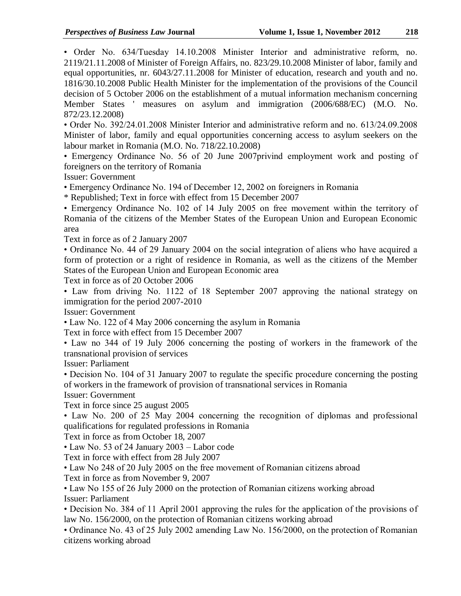• Order No. 634/Tuesday 14.10.2008 Minister Interior and administrative reform, no. 2119/21.11.2008 of Minister of Foreign Affairs, no. 823/29.10.2008 Minister of labor, family and equal opportunities, nr. 6043/27.11.2008 for Minister of education, research and youth and no. 1816/30.10.2008 Public Health Minister for the implementation of the provisions of the Council decision of 5 October 2006 on the establishment of a mutual information mechanism concerning Member States ' measures on asylum and immigration (2006/688/EC) (M.O. No. 872/23.12.2008)

• Order No. 392/24.01.2008 Minister Interior and administrative reform and no. 613/24.09.2008 Minister of labor, family and equal opportunities concerning access to asylum seekers on the labour market in Romania (M.O. No. 718/22.10.2008)

• Emergency Ordinance No. 56 of 20 June 2007privind employment work and posting of foreigners on the territory of Romania

Issuer: Government

• Emergency Ordinance No. 194 of December 12, 2002 on foreigners in Romania

\* Republished; Text in force with effect from 15 December 2007

• Emergency Ordinance No. 102 of 14 July 2005 on free movement within the territory of Romania of the citizens of the Member States of the European Union and European Economic area

Text in force as of 2 January 2007

• Ordinance No. 44 of 29 January 2004 on the social integration of aliens who have acquired a form of protection or a right of residence in Romania, as well as the citizens of the Member States of the European Union and European Economic area

Text in force as of 20 October 2006

• Law from driving No. 1122 of 18 September 2007 approving the national strategy on immigration for the period 2007-2010

Issuer: Government

• Law No. 122 of 4 May 2006 concerning the asylum in Romania

Text in force with effect from 15 December 2007

• Law no 344 of 19 July 2006 concerning the posting of workers in the framework of the transnational provision of services

Issuer: Parliament

• Decision No. 104 of 31 January 2007 to regulate the specific procedure concerning the posting of workers in the framework of provision of transnational services in Romania

Issuer: Government

Text in force since 25 august 2005

• Law No. 200 of 25 May 2004 concerning the recognition of diplomas and professional qualifications for regulated professions in Romania

Text in force as from October 18, 2007

• Law No. 53 of 24 January 2003 – Labor code

Text in force with effect from 28 July 2007

• Law No 248 of 20 July 2005 on the free movement of Romanian citizens abroad

Text in force as from November 9, 2007

• Law No 155 of 26 July 2000 on the protection of Romanian citizens working abroad Issuer: Parliament

• Decision No. 384 of 11 April 2001 approving the rules for the application of the provisions of law No. 156/2000, on the protection of Romanian citizens working abroad

• Ordinance No. 43 of 25 July 2002 amending Law No. 156/2000, on the protection of Romanian citizens working abroad